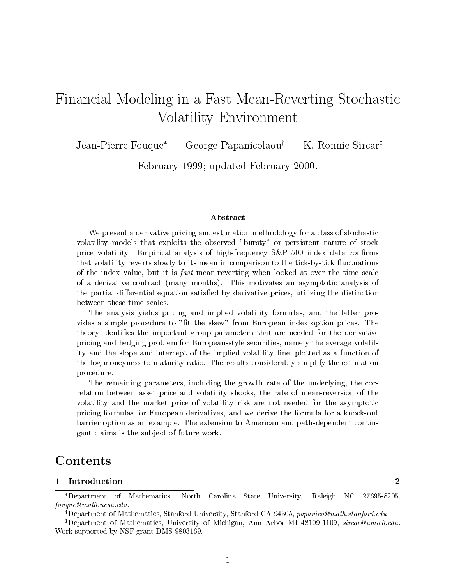# Financial Modeling in <sup>a</sup> Fast Mean-Reverting Stochastic Volatility Environment

Jean-Pierre Fouque<sup>\*</sup> George Papanicolaou<sup>†</sup> K. Ronnie Sircar<sup>‡</sup>

February 1999; updated February 2000.

# Abstract

We present a derivative pricing and estimation methodology for a class of stochastic volatility models that exploits the observed "bursty" or persistent nature of stock price volatility. Empirical analysis of high-frequency  $S\&P$  500 index data confirms that volatility reverts slowly to its mean in comparison to the tick-by-tick 
uctuations of the index value, but it is *fast* mean-reverting when looked at over the time scale of a derivative contract (many months). This motivates an asymptotic analysis of the partial differential equation satisfied by derivative prices, utilizing the distinction between these time scales.

The analysis yields pricing and implied volatility formulas, and the latter provides a simple procedure to "fit the skew" from European index option prices. The theory identies the important group parameters that are needed for the derivative pricing and hedging problem for European-style securities, namely the average volatility and the slope and intercept of the implied volatility line, plotted asa function of the log-moneyness-to-maturity-ratio. The results considerably simplify the estimation procedure.

The remaining parameters, including the growth rate of the underlying, the correlation between asset price and volatility shocks, the rate of mean-reversion of the volatility and the market price of volatility risk are not needed for the asymptotic pricing formulas for European derivatives, and we derive the formula for a knock-out barrier option as an example. The extension to American and path-dependent contingent claims is the sub ject of future work.

# **Contents**

Department of Mathematics, North Carolina State University, Raleigh NC 27695-8205, fouque@math.ncsu.edu.

<sup>&</sup>lt;sup>†</sup>Department of Mathematics, Stanford University, Stanford CA 94305, papanico@math.stanford.edu

<sup>&</sup>lt;sup>‡</sup>Department of Mathematics, University of Michigan, Ann Arbor MI 48109-1109, *sircar@umich.edu.* Work supported by NSF grant DMS-9803169.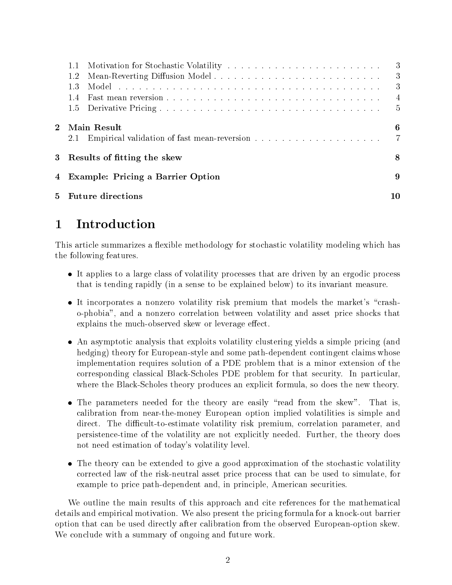|                | 1.2<br>1.3<br>14                    | 3<br>3<br>4<br>5 |  |  |  |  |  |
|----------------|-------------------------------------|------------------|--|--|--|--|--|
| $\overline{2}$ | Main Result<br>2.1                  | 6                |  |  |  |  |  |
|                | 3 Results of fitting the skew       | 8                |  |  |  |  |  |
|                | 4 Example: Pricing a Barrier Option |                  |  |  |  |  |  |
| 5              | <b>Future directions</b>            | 10               |  |  |  |  |  |

This article summarizes a flexible methodology for stochastic volatility modeling which has the following features.

- $\bullet$  It applies to a large class of volatility processes that are driven by an ergodic process that is tending rapidly (in a sense to be explained below) to its invariant measure.
- It incorporates a nonzero volatility risk premium that models the market's "crasho-phobia", and a nonzero correlation between volatility and asset price shocks that explains the much-observed skew or leverage effect.
- An asymptotic analysis that exploits volatility clustering yields a simple pricing (and hedging) theory for European-style and some path-dependent contingent claims whose implementation requires solution of a PDE problem that is a minor extension of the corresponding classical Black-Scholes PDE problem for that security. In particular, where the Black-Scholes theory produces an explicit formula, so does the new theory.
- $\bullet$  The parameters needed for the theory are easily fread from the skew . That is, calibration from near-the-money European option implied volatilities is simple and direct. The difficult-to-estimate volatility risk premium, correlation parameter, and persistence-time of the volatility are not explicitly needed. Further, the theory does not need estimation of today's volatility level.
- $\bullet$  The theory can be extended to give a good approximation of the stochastic volatility corrected law of the risk-neutral asset price process that can be used to simulate, for example to price path-dependent and, in principle, American securities.

We outline the main results of this approach and cite references for the mathematical details and empirical motivation. We also present the pricing formula for a knock-out barrier option that can be used directly after calibration from the observed European-option skew. We conclude with a summary of ongoing and future work.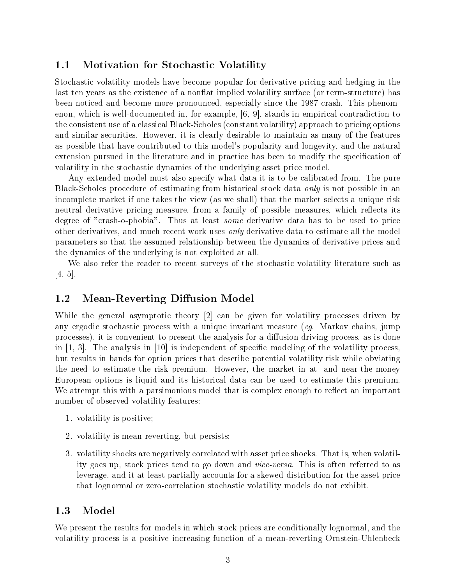#### 1.1Motivation for Stochastic Volatility

Stochastic volatility models have become popular for derivative pricing and hedging in the last ten years as the existence of a nonflat implied volatility surface (or term-structure) has been noticed and become more pronounced, especially since the 1987 crash. This phenomenon, which is well-documented in, for example, [6, 9], stands in empirical contradiction to the consistent use of a classical Black-Scholes (constant volatility) approach to pricing options and similar securities. However, it is clearly desirable to maintain as many of the features as possible that have contributed to this model's popularity and longevity, and the natural extension pursued in the literature and in practice has been to modify the specification of volatility in the stochastic dynamics of the underlying asset price model.

Any extended model must also specify what data it is to be calibrated from. The pure Black-Scholes procedure of estimating from historical stock data *only* is not possible in an incomplete market if one takes the view (as we shall) that the market selects a unique risk neutral derivative pricing measure, from a family of possible measures, which reflects its degree of "crash-o-phobia". Thus at least some derivative data has to be used to price other derivatives, and much recent work uses only derivative data to estimate all the model parameters so that the assumed relationship between the dynamics of derivative prices and the dynamics of the underlying is not exploited at all.

We also refer the reader to recent surveys of the stochastic volatility literature such as [4, 5].

### 1.2Mean-Reverting Diffusion Model

While the general asymptotic theory [2] can be given for volatility processes driven by any ergodic stochastic process with a unique invariant measure (eq. Markov chains, jump processes), it is convenient to present the analysis for a diffusion driving process, as is done in  $[1, 3]$ . The analysis in  $[10]$  is independent of specific modeling of the volatility process, but results in bands for option prices that describe potential volatility risk while obviating the need to estimate the risk premium. However, the market in at- and near-the-money European options is liquid and its historical data can be used to estimate this premium. We attempt this with a parsimonious model that is complex enough to reflect an important number of observed volatility features:

- 1. volatility is positive;
- 2. volatility is mean-reverting, but persists;
- 3. volatility shocks are negatively correlated with asset price shocks. That is, when volatility goes up, stock prices tend to go down and vice-versa. This is often referred to as leverage, and it at least partially accounts for a skewed distribution for the asset price that lognormal or zero-correlation stochastic volatility models do not exhibit.

### 1.3Model

We present the results for models in which stock prices are conditionally lognormal, and the volatility process is a positive increasing function of a mean-reverting Ornstein-Uhlenbeck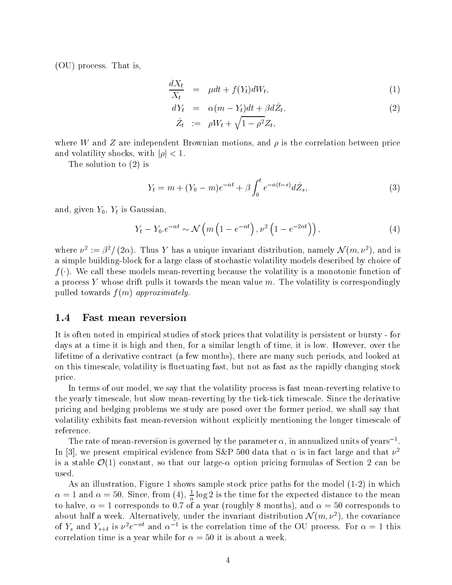(OU) process. That is,

$$
\frac{dX_t}{X_t} = \mu dt + f(Y_t) dW_t, \qquad (1)
$$

$$
dY_t = \alpha(m - Y_t)dt + \beta d\hat{Z}_t,
$$
  
\n
$$
\hat{Z}_t := \rho W_t + \sqrt{1 - \rho^2} Z_t,
$$
\n(2)

where W and Z are independent Brownian motions, and  $\rho$  is the correlation between price and volatility shocks, with  $|\rho| < 1$ .

The solution to (2) is

$$
Y_t = m + (Y_0 - m)e^{-\alpha t} + \beta \int_0^t e^{-\alpha(t-s)} d\hat{Z}_s,
$$
\n(3)

and, given  $Y_0$ ,  $Y_t$  is Gaussian,

$$
\text{Faussian},
$$
\n
$$
Y_t - Y_0 \cdot e^{-\alpha t} \sim \mathcal{N}\left(m\left(1 - e^{-\alpha t}\right), \nu^2\left(1 - e^{-2\alpha t}\right)\right),\tag{4}
$$

where  $\nu^* := \rho^* / (2\alpha)$ . Thus Y has a unique invariant distribution, namely N (m,  $\nu^*$ ), and is a simple building-block for a large class of stochastic volatility models described by choice of  $f(\cdot)$ . We call these models mean-reverting because the volatility is a monotonic function of a process Y whose drift pulls it towards the mean value  $m$ . The volatility is correspondingly pulled towards  $f(m)$  approximately.

#### 1.4Fast mean reversion

It is often noted in empirical studies of stock prices that volatility is persistent or bursty - for days at a time it is high and then, for a similar length of time, it is low. However, over the lifetime of a derivative contract (a few months), there are many such periods, and looked at on this timescale, volatility is fluctuating fast, but not as fast as the rapidly changing stock price.

In terms of our model, we say that the volatility process is fast mean-reverting relative to the yearly timescale, but slow mean-reverting by the tick-tick timescale. Since the derivative pricing and hedging problems we study are posed over the former period, we shall say that volatility exhibits fast mean-reversion without explicitly mentioning the longer timescale of reference.

The rate of mean-reversion is governed by the parameter  $\alpha$ , in annualized units of years<sup>-1</sup>. In [3], we present empirical evidence from S&P 500 data that  $\alpha$  is in fact large and that  $\nu^2$ is a stable  $\mathcal{O}(1)$  constant, so that our large- $\alpha$  option pricing formulas of Section 2 can be

As an illustration, Figure 1 shows sample stock price paths for the model (1-2) in which  $\alpha = 1$  and  $\alpha = 50$ . Since, from (4),  $\frac{1}{\alpha} \log z$  is the time for the expected distance to the mean to halve, = 1 corresponds to 0:7 of a year (roughly 8 months), and = 50 corresponds to about half a week. Alternatively, under the invariant distribution  $\mathcal{N}(m, \nu^2)$ , the covariance of  $Y_s$  and  $Y_{s+t}$  is  $\nu^*e^{-\infty}$  and  $\alpha^{-*}$  is the correlation time of the OU process. For  $\alpha=1$  this correlation time is a year while for  $\alpha = 50$  it is about a week.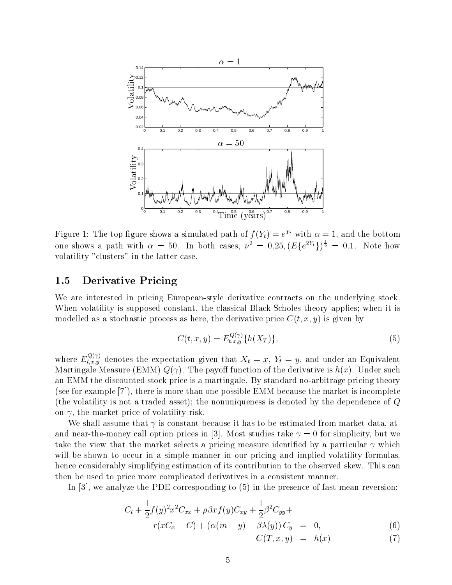

Figure 1: The top ligure shows a simulated path of  $f(Y_t) = e^{-\epsilon}$  with  $\alpha = 1$ , and the bottom one shows a path with  $\alpha = 50$ . In both cases,  $\nu^2 = 0.25$ ,  $(E\{e^{2Y_t}\})^{\frac{1}{2}} = 0.1$ . Note how volatility "clusters" in the latter case.

#### 1.5Derivative Pricing

We are interested in pricing European-style derivative contracts on the underlying stock. When volatility is supposed constant, the classical Black-Scholes theory applies; when it is modelled as a stochastic process as here, the derivative price  $C(t, x, y)$  is given by

$$
C(t, x, y) = E_{t, x, y}^{Q(\gamma)} \{h(X_T)\},\tag{5}
$$

where  $E_{t,x,y}^{\infty}$  denotes the expectation given that  $X_t = x, Y_t = y$ , and under an Equivalent Martingale Measure (EMM)  $Q(\gamma)$ . The payoff function of the derivative is  $h(x)$ . Under such an EMM the discounted stock price is a martingale. By standard no-arbitrage pricing theory (see for example [7]), there is more than one possible EMM because the market is incomplete (the volatility is not a traded asset); the nonuniqueness is denoted by the dependence of <sup>Q</sup> on  $\gamma$ , the market price of volatility risk.

We shall assume that  $\gamma$  is constant because it has to be estimated from market data, atand near-the-money call option prices in [3]. Most studies take  $\gamma = 0$  for simplicity, but we take the view that the market selects a pricing measure identified by a particular  $\gamma$  which will be shown to occur in a simple manner in our pricing and implied volatility formulas. hence considerably simplifying estimation of its contribution to the observed skew. This can then be used to price more complicated derivatives in a consistent manner.

In [3], we analyze the PDE corresponding to (5) in the presence of fast mean-reversion:

$$
C_{t} + \frac{1}{2}f(y)^{2}x^{2}C_{xx} + \rho\beta xf(y)C_{xy} + \frac{1}{2}\beta^{2}C_{yy} +
$$
  
\n
$$
r(xC_{x} - C) + (\alpha(m - y) - \beta\lambda(y))C_{y} = 0,
$$
\n(6)

$$
C(T, x, y) = h(x) \tag{7}
$$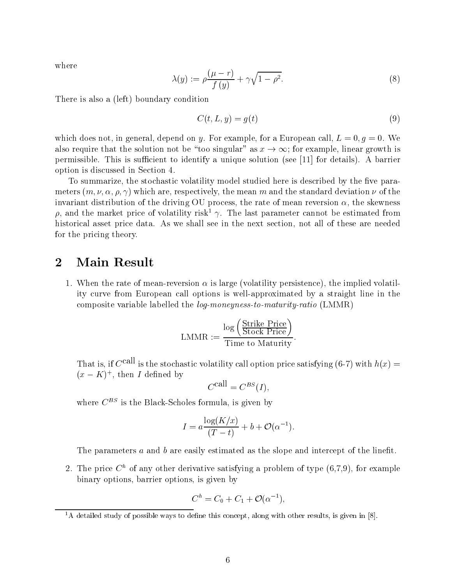where

$$
\lambda(y) := \rho \frac{(\mu - r)}{f(y)} + \gamma \sqrt{1 - \rho^2}.\tag{8}
$$

There is also a (left) boundary condition

$$
C(t, L, y) = g(t) \tag{9}
$$

which does not, in general, depend on y. For example, for a European call,  $L = 0, q = 0$ . We also require that the solution not be "too singular" as  $x \to \infty$ ; for example, linear growth is permissible. This is sufficient to identify a unique solution (see  $[11]$  for details). A barrier option is discussed in Section 4.

To summarize, the stochastic volatility model studied here is described by the five parameters  $(m, \nu, \alpha, \rho, \gamma)$  which are, respectively, the mean m and the standard deviation  $\nu$  of the invariant distribution of the driving OU process, the rate of mean reversion  $\alpha$ , the skewness  $\rho$ , and the market price of volatility risk<sup>1</sup>  $\gamma$ . The last parameter cannot be estimated from historical asset price data. As we shall see in the next section, not all of these are needed for the pricing theory.

# 2Main Result

1. When the rate of mean-reversion  $\alpha$  is large (volatility persistence), the implied volatility curve from European call options is well-approximated by a straight line in the composite variable labelled the log-moneyness-to-maturity-ratio (LMMR)

$$
\text{LMMR} := \frac{\log \left( \frac{\text{Strike Price}}{\text{Stock Price}} \right)}{\text{Time to Maturity}}.
$$

That is, if  $C^{call}$  is the stochastic volatility call option price satisfying (6-7) with  $h(x) =$  $(x - K)$ , then I defined by

$$
C^{\text{call}} = C^{BS}(I),
$$

where  $C^{BS}$  is the Black-Scholes formula, is given by

$$
I = a \frac{\log(K/x)}{(T-t)} + b + \mathcal{O}(\alpha^{-1}).
$$

The parameters  $a$  and  $b$  are easily estimated as the slope and intercept of the linefit.

2. The price  $C<sup>h</sup>$  of any other derivative satisfying a problem of type  $(6,7,9)$ , for example binary options, barrier options, is given by

$$
C^h = C_0 + C_1 + \mathcal{O}(\alpha^{-1}),
$$

 $1_A$  detailed study of possible ways to define this concept, along with other results, is given in [8].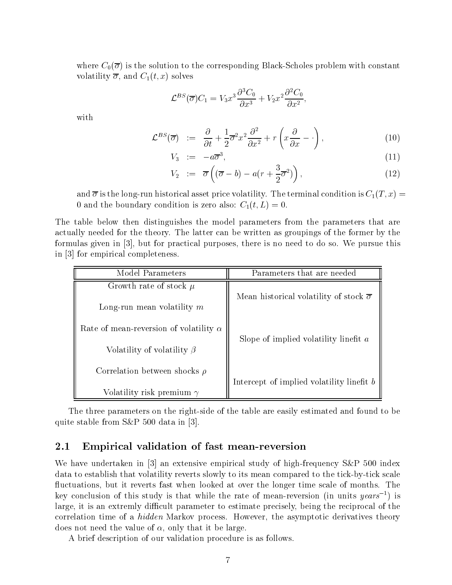where  $C_0(\overline{\sigma})$  is the solution to the corresponding Black-Scholes problem with constant volatility  $\overline{\sigma}$ , and  $C_1(t, x)$  solves

$$
\mathcal{L}^{BS}(\overline{\sigma})C_1 = V_3 x^3 \frac{\partial^3 C_0}{\partial x^3} + V_2 x^2 \frac{\partial^2 C_0}{\partial x^2},
$$

with

$$
\mathcal{L}^{BS}(\overline{\sigma}) \quad := \quad \frac{\partial}{\partial t} + \frac{1}{2}\overline{\sigma}^2 x^2 \frac{\partial^2}{\partial x^2} + r\left(x\frac{\partial}{\partial x} - \cdot\right), \tag{10}
$$

$$
V_3 \quad := \quad -a\overline{\sigma}^3,\tag{11}
$$

$$
V_2 \quad := \quad \overline{\sigma} \left( (\overline{\sigma} - b) - a(r + \frac{3}{2}\overline{\sigma}^2) \right), \tag{12}
$$

and  $\overline{\sigma}$  is the long-run historical asset price volatility. The terminal condition is  $C_1(T,x) =$ 0 and the boundary condition is zero also:  $C_1(t,L) = 0$ .

The table below then distinguishes the model parameters from the parameters that are actually needed for the theory. The latter can be written asgroupings of the former by the formulas given in [3], but for practical purposes, there is no need to do so. We pursue this in [3] for empirical completeness.

| Model Parameters                              | Parameters that are needed                              |  |  |
|-----------------------------------------------|---------------------------------------------------------|--|--|
| Growth rate of stock $\mu$                    | Mean historical volatility of stock $\overline{\sigma}$ |  |  |
| Long-run mean volatility $m$                  |                                                         |  |  |
| Rate of mean-reversion of volatility $\alpha$ |                                                         |  |  |
| Volatility of volatility $\beta$              | Slope of implied volatility linefit $a$                 |  |  |
| Correlation between shocks $\rho$             |                                                         |  |  |
| Volatility risk premium $\gamma$              | Intercept of implied volatility linefit b               |  |  |

The three parameters on the right-side of the table are easily estimated and found to be quite stable from S&P 500 data in [3].

### 2.1Empirical validation of fast mean-reversion

We have undertaken in [3] an extensive empirical study of high-frequency S&P 500 index data to establish that volatility reverts slowly to its mean compared to the tick-by-tick scale fluctuations, but it reverts fast when looked at over the longer time scale of months. The key conclusion of this study is that while the rate of mean-reversion (in units years<sup>-1</sup>) is large, it is an extremly difficult parameter to estimate precisely, being the reciprocal of the correlation time of a *hidden* Markov process. However, the asymptotic derivatives theory does not need the value of  $\alpha$ , only that it be large.

A brief description of our validation procedure is as follows.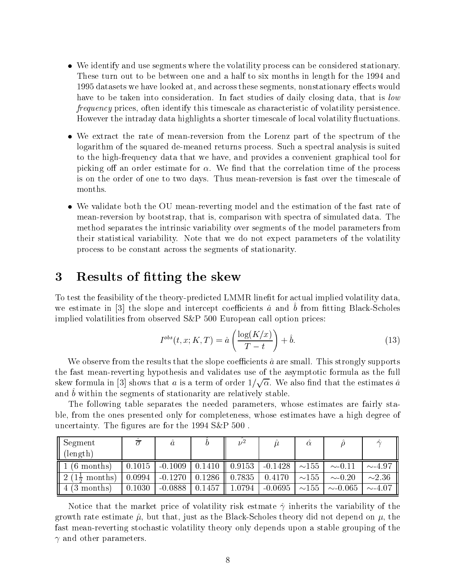- $\bullet$  -we identify and use segments where the volatility process can be considered stationary. These turn out to be between one and a half to six months in length for the 1994 and 1995 datasets we have looked at, and across these segments, nonstationary effects would have to be taken into consideration. In fact studies of daily closing data, that is low frequency prices, often identify this timescale as characteristic of volatility persistence. However the intraday data highlights a shorter timescale of local volatility 
uctuations.
- We extract the rate of mean-reversion from the Lorenz part of the spectrum of the logarithm of the squared de-meaned returns process. Such a spectral analysis is suited to the high-frequency data that we have, and provides a convenient graphical tool for picking off an order estimate for  $\alpha$ . We find that the correlation time of the process is on the order of one to two days. Thus mean-reversion is fast over the timescale of months.
- $\bullet\,$  we validate both the OU mean-reverting model and the estimation of the fast rate of  $\,$ mean-reversion by bootstrap, that is, comparison with spectra of simulated data. The method separates the intrinsic variability over segments of the model parameters from their statistical variability. Note that we do not expect parameters of the volatility process to be constant across the segments of stationarity.

## 3Results of fitting the skew

To test the feasibility of the theory-predicted LMMR linet for actual implied volatility data, we estimate in  $\varphi$  and slope and intercept coemclems  $u$  and  $v$  from neurg black-Scholes implied volatilities from observed S&P 500 European call option prices:

$$
I^{obs}(t, x; K, T) = \hat{a} \left( \frac{\log(K/x)}{T - t} \right) + \hat{b}.
$$
 (13)

We observe from the results that the slope coefficients  $\hat{a}$  are small. This strongly supports the fast mean-reverting hypothesis and validates use of the asymptotic formula as the full skew formula in [3] shows that a is a term of order  $1/\sqrt{\alpha}$ . We also find that the estimates  $\hat{a}$ and  $\sigma$  within the segments of stationarity are relatively stable.

The following table separates the needed parameters, whose estimates are fairly stable, from the ones presented only for completeness, whose estimates have a high degree of uncertainty. The figures are for the  $1994$  S&P  $500$ .

| Segment                   |        | u         |        | $\nu^2$ |           | $\alpha$    |              | $\hat{\mathcal{A}}$ |
|---------------------------|--------|-----------|--------|---------|-----------|-------------|--------------|---------------------|
| $(\text{length})$         |        |           |        |         |           |             |              |                     |
| $(6$ months)              | 0.1015 | $-0.1009$ | 0.1410 | 0.9153  | $-0.1428$ | $\sim$ 155  | $\sim 0.11$  | $\sim 4.97$         |
| 2 <sub>1</sub><br>months) | 0.0994 | $-0.1270$ | 0.1286 | 0.7835  | 0.4170    | $\sim$ 155  | $\sim 0.20$  | $\sim\!\!2.36$      |
| months)<br>(3)            | 0.1030 | $-0.0888$ | 0.1457 | .0794   | $-0.0695$ | ${\sim}155$ | $\sim 0.065$ | $\sim$ 4.07         |

Notice that the market price of volatility risk estmate  $\hat{\gamma}$  inherits the variability of the growth rate estimate  $\hat{\mu}$ , but that, just as the Black-Scholes theory did not depend on  $\mu$ , the fast mean-reverting stochastic volatility theory only depends upon a stable grouping of the and other parameters.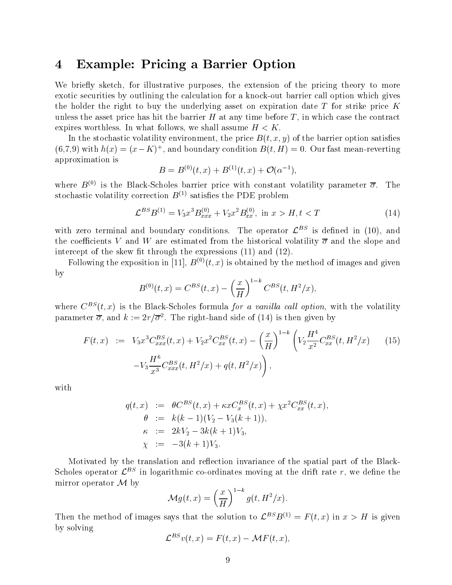## 4Example: Pricing <sup>a</sup> Barrier Option

We briefly sketch, for illustrative purposes, the extension of the pricing theory to more exotic securities by outlining the calculation for a knock-out barrier call option which gives the holder the right to buy the underlying asset on expiration date  $T$  for strike price  $K$ unless the asset price has hit the barrier  $H$  at any time before  $T$ , in which case the contract expires worthless. In what follows, we shall assume  $H < K$ .

In the stochastic volatility environment, the price  $B(t, x, y)$  of the barrier option satisfies  $(0,t,9)$  with  $h(x)=(x-\Lambda)^+$ , and boundary condition  $B(t,H)=0$ . Our fast mean-reverting approximation is

$$
B=B^{(0)}(t,x)+B^{(1)}(t,x)+\mathcal{O}(\alpha^{-1}),
$$

where  $B^{(0)}$  is the Black-Scholes barrier price with constant volatility parameter  $\overline{\sigma}$ . The stochastic volatility correction  $B^{(1)}$  satisfies the PDE problem

$$
\mathcal{L}^{BS}B^{(1)} = V_3 x^3 B_{xxx}^{(0)} + V_2 x^2 B_{xx}^{(0)}, \text{ in } x > H, t < T
$$
 (14)

with zero terminal and boundary conditions. The operator  $\mathcal{L}^{BS}$  is defined in (10), and the coefficients V and W are estimated from the historical volatility  $\overline{\sigma}$  and the slope and intercept of the skew fit through the expressions  $(11)$  and  $(12)$ .

Following the exposition in [11],  $B^{(0)}(t, x)$  is obtained by the method of images and given by

$$
B^{(0)}(t,x) = C^{BS}(t,x) - \left(\frac{x}{H}\right)^{1-k} C^{BS}(t,H^2/x),
$$

where  $C^{BS}(t, x)$  is the Black-Scholes formula for a vanilla call option, with the volatility parameter  $o$ , and  $\kappa := \frac{2r}{\sigma}$ . The right-hand side of (14) is then given by

$$
F(t,x) := V_3 x^3 C_{xxx}^{BS}(t,x) + V_2 x^2 C_{xx}^{BS}(t,x) - \left(\frac{x}{H}\right)^{1-k} \left(V_2 \frac{H^4}{x^2} C_{xx}^{BS}(t,H^2/x) - \left(V_3 \frac{H^6}{x^3} C_{xxx}^{BS}(t,H^2/x) + q(t,H^2/x)\right)\right),
$$
\n(15)

with

$$
q(t,x) := \theta C^{BS}(t,x) + \kappa x C_x^{BS}(t,x) + \chi x^2 C_{xx}^{BS}(t,x),
$$
  
\n
$$
\theta := k(k-1)(V_2 - V_3(k+1)),
$$
  
\n
$$
\kappa := 2kV_2 - 3k(k+1)V_3,
$$
  
\n
$$
\chi := -3(k+1)V_3.
$$

Motivated by the translation and reflection invariance of the spatial part of the Black-Scholes operator  $\mathcal{L}^{BS}$  in logarithmic co-ordinates moving at the drift rate r, we define the mirror operator  $\mathcal M$  by

$$
\mathcal{M}g(t,x) = \left(\frac{x}{H}\right)^{1-k} g(t, H^2/x).
$$

Then the method of images says that the solution to  $\mathcal{L}^{BS}B^{(1)} = F(t, x)$  in  $x > H$  is given<br>by solving  $\mathcal{L}^{BS}v(t, x) = F(t, x) - \mathcal{M}F(t, x)$ , by solving  $\mathbf{E}$ 

$$
\mathcal{L}^{BS}v(t,x) = F(t,x) - \mathcal{M}F(t,x)
$$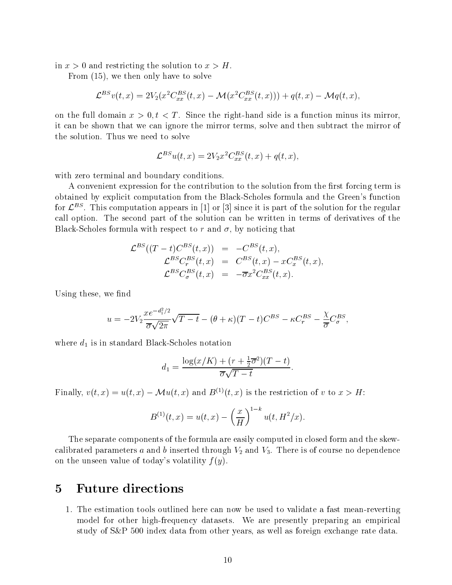in  $x>0$  and restricting the solution to  $x>H$ .

From (15), we then only have to solve

15), we then only have to solve  
\n
$$
\mathcal{L}^{BS}v(t,x) = 2V_2(x^2C_{xx}^{BS}(t,x) - \mathcal{M}(x^2C_{xx}^{BS}(t,x))) + q(t,x) - \mathcal{M}q(t,x),
$$

on the full domain  $x > 0, t < T$ . Since the right-hand side is a function minus its mirror, it can be shown that we can ignore the mirror terms, solve and then subtract the mirror of the solution. Thus we need to solve

$$
\mathcal{L}^{BS}u(t,x) = 2V_2x^2C_{xx}^{BS}(t,x) + q(t,x),
$$

with zero terminal and boundary conditions.

A convenient expression for the contribution to the solution from the first forcing term is obtained by explicit computation from the Black-Scholes formula and the Green's function for  $\mathcal{L}^{++}$ . This computation appears in [1] or [3] since it is part of the solution for the regular call option. The second part of the solution can be written in terms of derivatives of the Black-Scholes formula with respect to r and  $\sigma$ , by noticing that

$$
\mathcal{L}^{BS}((T-t)C^{BS}(t,x)) = -C^{BS}(t,x),
$$
  
\n
$$
\mathcal{L}^{BS}C^{BS}_r(t,x) = C^{BS}(t,x) - xC^{BS}_x(t,x),
$$
  
\n
$$
\mathcal{L}^{BS}C^{BS}_\sigma(t,x) = -\overline{\sigma}x^2C^{BS}_x(t,x).
$$

Using these, we find

$$
u = -2V_2 \frac{xe^{-d_1^2/2}}{\overline{\sigma}\sqrt{2\pi}} \sqrt{T-t} - (\theta + \kappa)(T-t)C^{BS} - \kappa C_r^{BS} - \frac{\chi}{\overline{\sigma}} C_{\sigma}^{BS},
$$

where  $d_1$  is in standard Black-Scholes notation

$$
d_1 = \frac{\log(x/K) + (r + \frac{1}{2}\overline{\sigma}^2)(T - t)}{\overline{\sigma}\sqrt{T - t}}.
$$

Finally,  $v(t, x) = u(t, x) - \mathcal{M}u(t, x)$  and  $B^{(1)}(t, x)$  is the restriction of v to  $x > H$ :

$$
B^{(1)}(t,x) = u(t,x) - \left(\frac{x}{H}\right)^{1-k} u(t,H^2/x).
$$

The separate components of the formula are easily computed in closed form and the skewcalibrated parameters a and b inserted through  $V_2$  and  $V_3$ . There is of course no dependence on the unseen value of today's volatility  $f(y)$ .

### 5Future directions

1. The estimation tools outlined here can now be used to validate a fast mean-reverting model for other high-frequency datasets. We are presently preparing an empirical study of S&P 500 index data from other years, as well as foreign exchange rate data.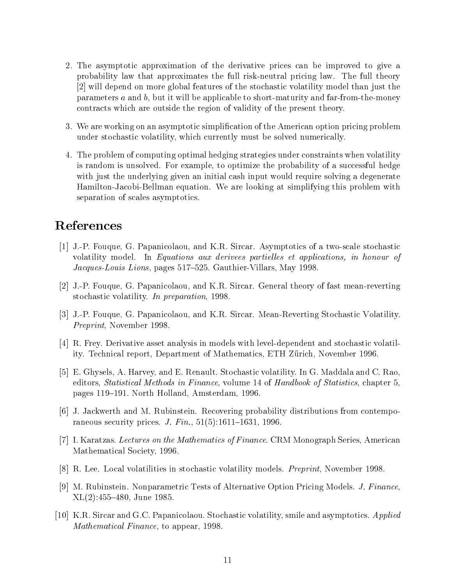- 2. The asymptotic approximation of the derivative prices can be improved to give a probability law that approximates the full risk-neutral pricing law. The full theory [2] will depend on more global features of the stochastic volatility model than just the parameters  $a$  and  $b$ , but it will be applicable to short-maturity and far-from-the-money contracts which are outside the region of validity of the present theory.
- 3. We are working on an asymptotic simplication of the American option pricing problem under stochastic volatility, which currently must be solved numerically.
- 4. The problem of computing optimal hedging strategies under constraints when volatility is random is unsolved. For example, to optimize the probability of a successful hedge with just the underlying given an initial cash input would require solving a degenerate Hamilton-Jacobi-Bellman equation. We are looking at simplifying this problem with separation of scales asymptotics.

# References

- [1] J.-P. Fouque, G. Papanicolaou, and K.R. Sircar. Asymptotics of a two-scale stochastic volatility model. In Equations aux derivees partielles et applications, in honour of Jacques-Louis Lions, pages 517–525. Gauthier-Villars, May 1998.
- [2] J.-P. Fouque, G. Papanicolaou, and K.R. Sircar. General theory of fast mean-reverting stochastic volatility. In preparation, 1998.
- [3] J.-P. Fouque, G. Papanicolaou, and K.R. Sircar. Mean-Reverting Stochastic Volatility. Preprint, November 1998.
- [4] R. Frey. Derivative asset analysis in models with level-dependent and stochastic volatility. Technical report, Department of Mathematics, ETH Zürich, November 1996.
- [5] E. Ghysels, A. Harvey, and E. Renault. Stochastic volatility. In G. Maddala and C. Rao, editors, *Statistical Methods in Finance*, volume 14 of *Handbook of Statistics*, chapter 5, pages 119-191. North Holland, Amsterdam, 1996.
- [6] J. Jackwerth and M. Rubinstein. Recovering probability distributions from contemporaneous security prices. *J. Fin.*,  $51(5):1611-1631$ , 1996.
- [7] I. Karatzas. Lectures on the Mathematics of Finance. CRM Monograph Series, American Mathematical Society, 1996.
- [8] R. Lee. Local volatilities in stochastic volatility models. *Preprint*, November 1998.
- [9] M. Rubinstein. Nonparametric Tests of Alternative Option Pricing Models. *J. Finance*,  $XL(2):455–480, June 1985.$
- [10] K.R. Sircar and G.C. Papanicolaou. Stochastic volatility, smile and asymptotics. Applied Mathematical Finance, to appear, 1998.